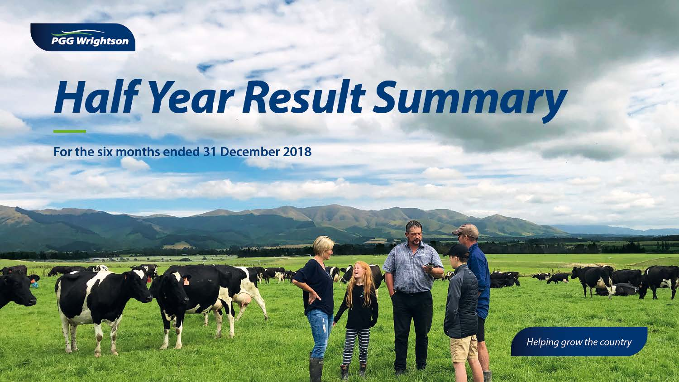

# **Half Year Result Summary**

For the six months ended 31 December 2018

Helping grow the country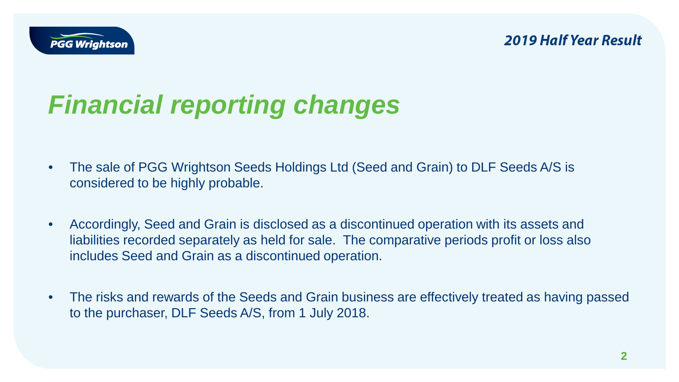

## *Financial reporting changes*

- The sale of PGG Wrightson Seeds Holdings Ltd (Seed and Grain) to DLF Seeds A/S is considered to be highly probable.
- Accordingly, Seed and Grain is disclosed as a discontinued operation with its assets and liabilities recorded separately as held for sale. The comparative periods profit or loss also includes Seed and Grain as a discontinued operation.
- The risks and rewards of the Seeds and Grain business are effectively treated as having passed to the purchaser, DLF Seeds A/S, from 1 July 2018.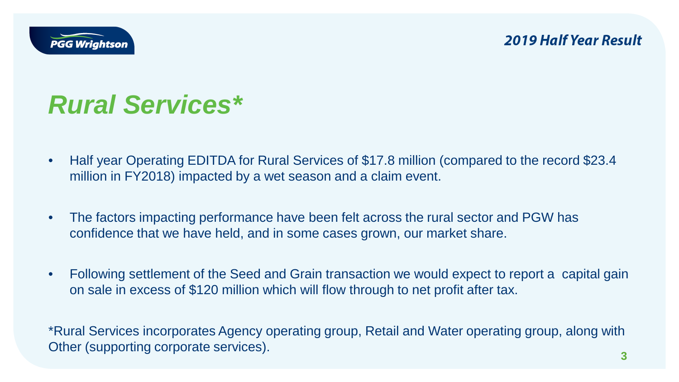

### *Rural Services\**

- Half year Operating EDITDA for Rural Services of \$17.8 million (compared to the record \$23.4 million in FY2018) impacted by a wet season and a claim event.
- The factors impacting performance have been felt across the rural sector and PGW has confidence that we have held, and in some cases grown, our market share.
- Following settlement of the Seed and Grain transaction we would expect to report a capital gain on sale in excess of \$120 million which will flow through to net profit after tax.

\*Rural Services incorporates Agency operating group, Retail and Water operating group, along with Other (supporting corporate services).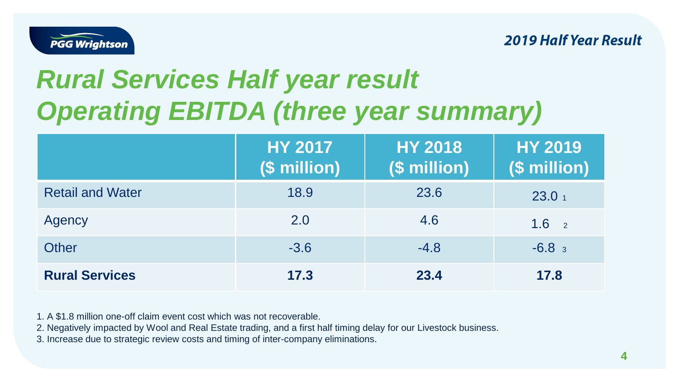

# *Rural Services Half year result Operating EBITDA (three year summary)*

|                         | <b>HY 2017</b><br>(\$ million) | <b>HY 2018</b><br>(\$ million) | <b>HY 2019</b><br>(\$ million) |
|-------------------------|--------------------------------|--------------------------------|--------------------------------|
| <b>Retail and Water</b> | 18.9                           | 23.6                           | 23.0 <sub>1</sub>              |
| Agency                  | 2.0                            | 4.6                            | 1.6<br>$\overline{2}$          |
| <b>Other</b>            | $-3.6$                         | $-4.8$                         | $-6.83$                        |
| <b>Rural Services</b>   | 17.3                           | 23.4                           | 17.8                           |

1. A \$1.8 million one-off claim event cost which was not recoverable.

2. Negatively impacted by Wool and Real Estate trading, and a first half timing delay for our Livestock business.

3. Increase due to strategic review costs and timing of inter-company eliminations.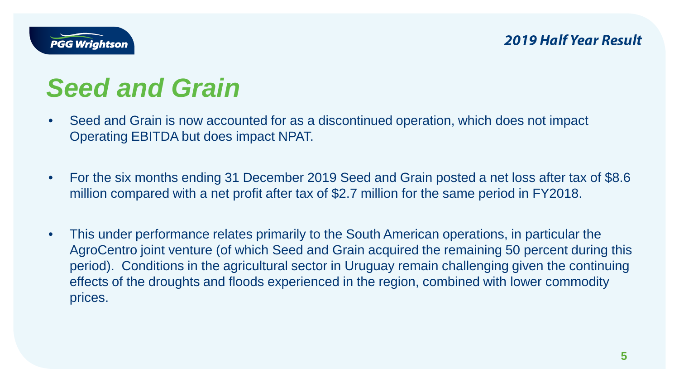



### *Seed and Grain*

- Seed and Grain is now accounted for as a discontinued operation, which does not impact Operating EBITDA but does impact NPAT.
- For the six months ending 31 December 2019 Seed and Grain posted a net loss after tax of \$8.6 million compared with a net profit after tax of \$2.7 million for the same period in FY2018.
- This under performance relates primarily to the South American operations, in particular the AgroCentro joint venture (of which Seed and Grain acquired the remaining 50 percent during this period). Conditions in the agricultural sector in Uruguay remain challenging given the continuing effects of the droughts and floods experienced in the region, combined with lower commodity prices.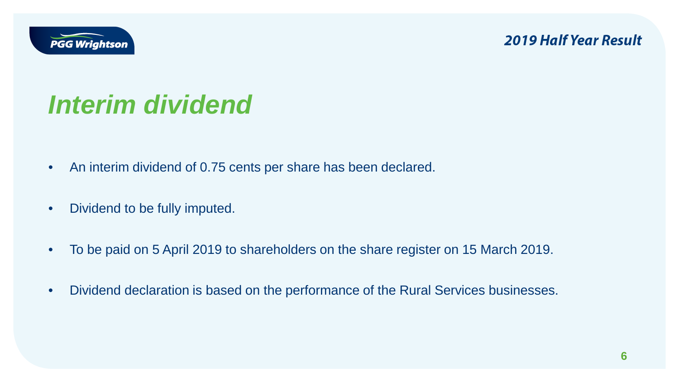

### *Interim dividend*

- An interim dividend of 0.75 cents per share has been declared.
- Dividend to be fully imputed.
- To be paid on 5 April 2019 to shareholders on the share register on 15 March 2019.
- Dividend declaration is based on the performance of the Rural Services businesses.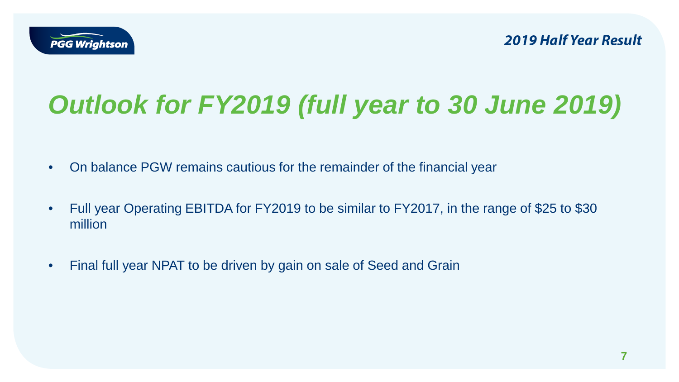

# *Outlook for FY2019 (full year to 30 June 2019)*

- On balance PGW remains cautious for the remainder of the financial year
- Full year Operating EBITDA for FY2019 to be similar to FY2017, in the range of \$25 to \$30 million
- Final full year NPAT to be driven by gain on sale of Seed and Grain